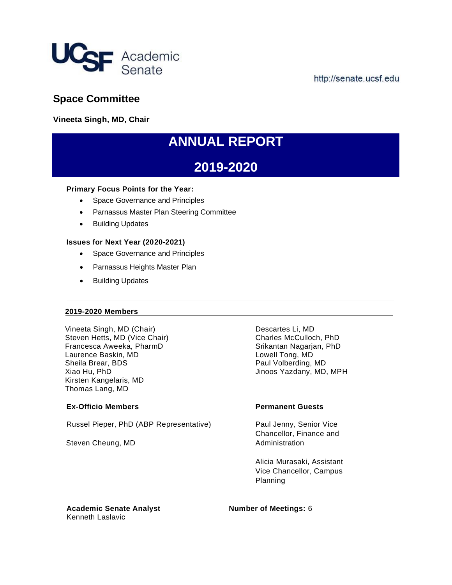

http://senate.ucsf.edu

## **Space Committee**

**Vineeta Singh, MD, Chair** 

# **ANNUAL REPORT**

## **2019-2020**

### **Primary Focus Points for the Year:**

- Space Governance and Principles
- Parnassus Master Plan Steering Committee
- Building Updates

### **Issues for Next Year (2020-2021)**

- Space Governance and Principles
- Parnassus Heights Master Plan
- Building Updates

### **2019-2020 Members**

Vineeta Singh, MD (Chair) Descartes Li, MD Steven Hetts, MD (Vice Chair) Charles McCulloch, PhD Francesca Aweeka, PharmD Srikantan Nagarjan, PhD Laurence Baskin, MD Lowell Tong, MD Sheila Brear, BDS **Paul Volberding, MD** Xiao Hu, PhD **View All and Struth Automobility Contracts** Jinoos Yazdany, MD, MPH Kirsten Kangelaris, MD Thomas Lang, MD

### **Ex-Officio Members Permanent Guests**

Russel Pieper, PhD (ABP Representative) Paul Jenny, Senior Vice

Steven Cheung, MD Administration

Chancellor, Finance and

Alicia Murasaki, Assistant Vice Chancellor, Campus Planning

**Academic Senate Analyst Number of Meetings:** 6 Kenneth Laslavic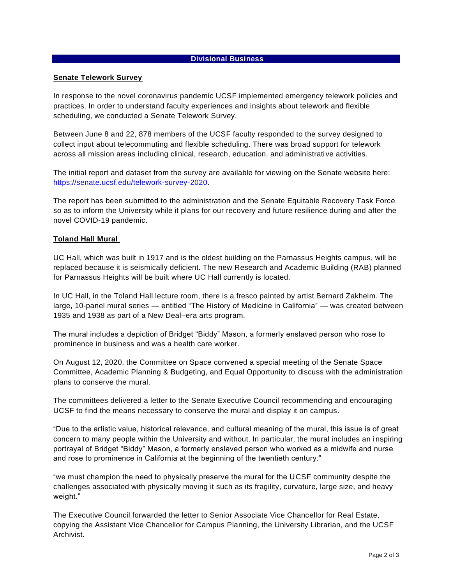### **Divisional Business**

### **Senate Telework Survey**

In response to the novel coronavirus pandemic UCSF implemented emergency telework policies and practices. In order to understand faculty experiences and insights about telework and flexible scheduling, we conducted a Senate Telework Survey.

Between June 8 and 22, 878 members of the UCSF faculty responded to the survey designed to collect input about telecommuting and flexible scheduling. There was broad support for telework across all mission areas including clinical, research, education, and administrative activities.

The initial report and dataset from the survey are available for viewing on the Senate website here: [https://senate.ucsf.edu/telework-survey-2020.](https://senate.ucsf.edu/telework-survey-2020)

The report has been submitted to the administration and the Senate Equitable Recovery Task Force so as to inform the University while it plans for our recovery and future resilience during and after the novel COVID-19 pandemic.

### **Toland Hall Mural**

UC Hall, which was built in 1917 and is the oldest building on the Parnassus Heights campus, will be replaced because it is seismically deficient. The new Research and Academic Building (RAB) planned for Parnassus Heights will be built where UC Hall currently is located.

In UC Hall, in the Toland Hall lecture room, there is a fresco painted by artist Bernard Zakheim. The large, 10-panel mural series — entitled "The History of Medicine in California" — was created between 1935 and 1938 as part of a New Deal–era arts program.

The mural includes a depiction of Bridget "Biddy" Mason, a formerly enslaved person who rose to prominence in business and was a health care worker.

On August 12, 2020, the Committee on Space convened a special meeting of the Senate Space Committee, Academic Planning & Budgeting, and Equal Opportunity to discuss with the administration plans to conserve the mural.

The committees delivered a letter to the Senate Executive Council recommending and encouraging UCSF to find the means necessary to conserve the mural and display it on campus.

"Due to the artistic value, historical relevance, and cultural meaning of the mural, this issue is of great concern to many people within the University and without. In particular, the mural includes an inspiring portrayal of Bridget "Biddy" Mason, a formerly enslaved person who worked as a midwife and nurse and rose to prominence in California at the beginning of the twentieth century."

"we must champion the need to physically preserve the mural for the UCSF community despite the challenges associated with physically moving it such as its fragility, curvature, large size, and heavy weight."

The Executive Council forwarded the letter to Senior Associate Vice Chancellor for Real Estate, copying the Assistant Vice Chancellor for Campus Planning, the University Librarian, and the UCSF Archivist.